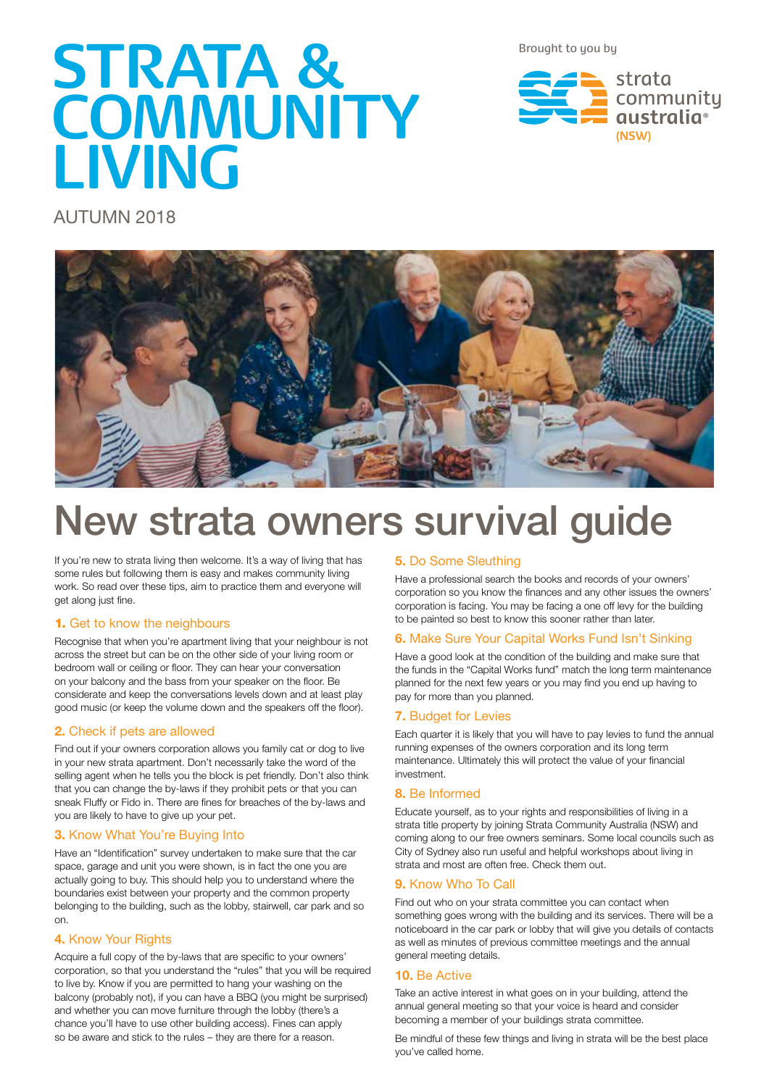Brought to you by

# **STRATA & COMMUNITY LIVING**

strata community qustralia<sup>®</sup> **(NSW)**

AUTUMN 2018



## New strata owners survival guide

If you're new to strata living then welcome. It's a way of living that has some rules but following them is easy and makes community living work. So read over these tips, aim to practice them and everyone will get along just fine.

#### 1. Get to know the neighbours

Recognise that when you're apartment living that your neighbour is not across the street but can be on the other side of your living room or bedroom wall or ceiling or floor. They can hear your conversation on your balcony and the bass from your speaker on the floor. Be considerate and keep the conversations levels down and at least play good music (or keep the volume down and the speakers off the floor).

#### **2.** Check if pets are allowed

Find out if your owners corporation allows you family cat or dog to live in your new strata apartment. Don't necessarily take the word of the selling agent when he tells you the block is pet friendly. Don't also think that you can change the by-laws if they prohibit pets or that you can sneak Fluffy or Fido in. There are fines for breaches of the by-laws and you are likely to have to give up your pet.

#### **3.** Know What You're Buying Into

Have an "Identification" survey undertaken to make sure that the car space, garage and unit you were shown, is in fact the one you are actually going to buy. This should help you to understand where the boundaries exist between your property and the common property belonging to the building, such as the lobby, stairwell, car park and so on.

#### **4.** Know Your Rights

Acquire a full copy of the by-laws that are specific to your owners' corporation, so that you understand the "rules" that you will be required to live by. Know if you are permitted to hang your washing on the balcony (probably not), if you can have a BBQ (you might be surprised) and whether you can move furniture through the lobby (there's a chance you'll have to use other building access). Fines can apply so be aware and stick to the rules – they are there for a reason.

#### **5.** Do Some Sleuthing

Have a professional search the books and records of your owners' corporation so you know the finances and any other issues the owners' corporation is facing. You may be facing a one off levy for the building to be painted so best to know this sooner rather than later.

#### **6.** Make Sure Your Capital Works Fund Isn't Sinking

Have a good look at the condition of the building and make sure that the funds in the "Capital Works fund" match the long term maintenance planned for the next few years or you may find you end up having to pay for more than you planned.

#### **7.** Budget for Levies

Each quarter it is likely that you will have to pay levies to fund the annual running expenses of the owners corporation and its long term maintenance. Ultimately this will protect the value of your financial investment.

#### **8.** Be Informed

Educate yourself, as to your rights and responsibilities of living in a strata title property by joining Strata Community Australia (NSW) and coming along to our free owners seminars. Some local councils such as City of Sydney also run useful and helpful workshops about living in strata and most are often free. Check them out.

#### **9.** Know Who To Call

Find out who on your strata committee you can contact when something goes wrong with the building and its services. There will be a noticeboard in the car park or lobby that will give you details of contacts as well as minutes of previous committee meetings and the annual general meeting details.

#### **10.** Be Active

Take an active interest in what goes on in your building, attend the annual general meeting so that your voice is heard and consider becoming a member of your buildings strata committee.

Be mindful of these few things and living in strata will be the best place you've called home.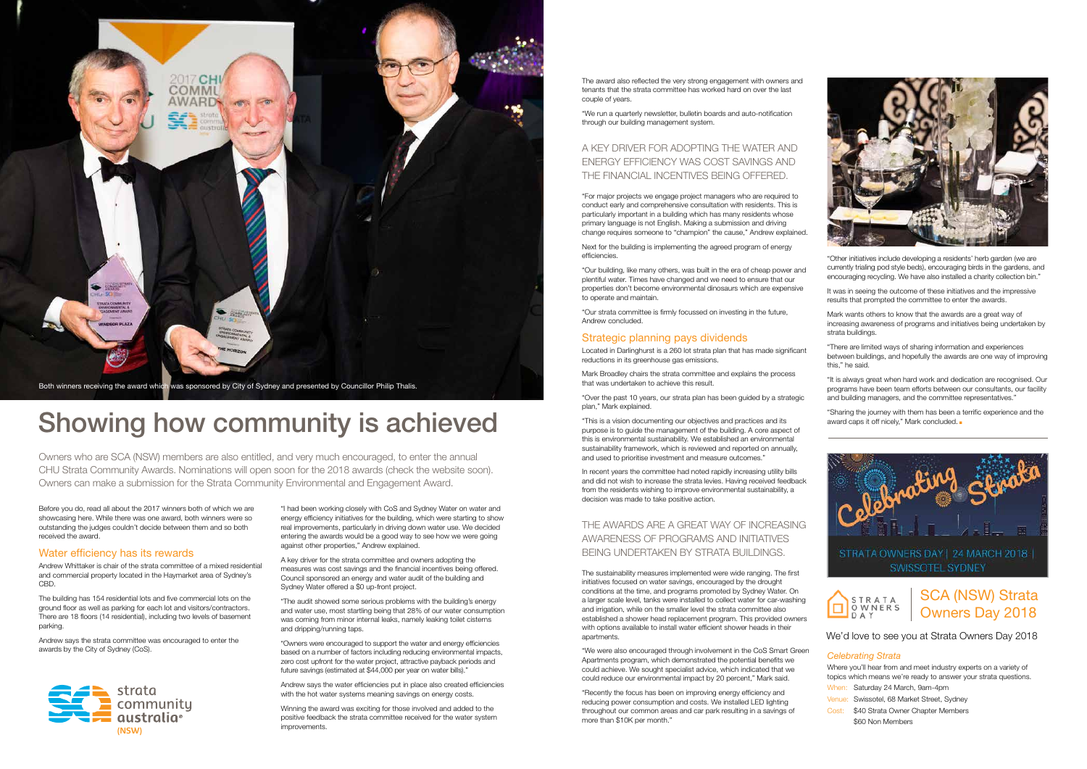"Other initiatives include developing a residents' herb garden (we are currently trialing pod style beds), encouraging birds in the gardens, and encouraging recycling. We have also installed a charity collection bin."

It was in seeing the outcome of these initiatives and the impressive results that prompted the committee to enter the awards.

Mark wants others to know that the awards are a great way of increasing awareness of programs and initiatives being undertaken by strata buildings.

"Sharing the journey with them has been a terrific experience and the award caps it off nicely," Mark concluded.



"There are limited ways of sharing information and experiences between buildings, and hopefully the awards are one way of improving this," he said.

"It is always great when hard work and dedication are recognised. Our programs have been team efforts between our consultants, our facility and building managers, and the committee representatives."



## Showing how community is achieved

Before you do, read all about the 2017 winners both of which we are showcasing here. While there was one award, both winners were so outstanding the judges couldn't decide between them and so both received the award.

#### Water efficiency has its rewards

Andrew Whittaker is chair of the strata committee of a mixed residential and commercial property located in the Haymarket area of Sydney's CBD.

The building has 154 residential lots and five commercial lots on the ground floor as well as parking for each lot and visitors/contractors. There are 18 floors (14 residential), including two levels of basement parking.

Andrew says the strata committee was encouraged to enter the awards by the City of Sydney (CoS).

"I had been working closely with CoS and Sydney Water on water and energy efficiency initiatives for the building, which were starting to show real improvements, particularly in driving down water use. We decided entering the awards would be a good way to see how we were going against other properties," Andrew explained.

A key driver for the strata committee and owners adopting the measures was cost savings and the financial incentives being offered. Council sponsored an energy and water audit of the building and Sydney Water offered a \$0 up-front project.

"The audit showed some serious problems with the building's energy and water use, most startling being that 28% of our water consumption was coming from minor internal leaks, namely leaking toilet cisterns and dripping/running taps.

"Owners were encouraged to support the water and energy efficiencies based on a number of factors including reducing environmental impacts, zero cost upfront for the water project, attractive payback periods and future savings (estimated at \$44,000 per year on water bills)."

Andrew says the water efficiencies put in place also created efficiencies with the hot water systems meaning savings on energy costs.

Winning the award was exciting for those involved and added to the positive feedback the strata committee received for the water system improvements.

The award also reflected the very strong engagement with owners and tenants that the strata committee has worked hard on over the last couple of years.

"We run a quarterly newsletter, bulletin boards and auto-notification through our building management system.

> Where you'll hear from and meet industry experts on a variety of topics which means we're ready to answer your strata questions.

#### A KEY DRIVER FOR ADOPTING THE WATER AND ENERGY EFFICIENCY WAS COST SAVINGS AND THE FINANCIAL INCENTIVES BEING OFFERED.

"For major projects we engage project managers who are required to conduct early and comprehensive consultation with residents. This is particularly important in a building which has many residents whose primary language is not English. Making a submission and driving change requires someone to "champion" the cause," Andrew explained.

Next for the building is implementing the agreed program of energy efficiencies.

"Our building, like many others, was built in the era of cheap power and plentiful water. Times have changed and we need to ensure that our properties don't become environmental dinosaurs which are expensive to operate and maintain.

"Our strata committee is firmly focussed on investing in the future, Andrew concluded.

#### Strategic planning pays dividends

Located in Darlinghurst is a 260 lot strata plan that has made significant reductions in its greenhouse gas emissions.

Mark Broadley chairs the strata committee and explains the process that was undertaken to achieve this result.

"Over the past 10 years, our strata plan has been guided by a strategic plan," Mark explained.

"This is a vision documenting our objectives and practices and its purpose is to guide the management of the building. A core aspect of this is environmental sustainability. We established an environmental sustainability framework, which is reviewed and reported on annually, and used to prioritise investment and measure outcomes."

In recent years the committee had noted rapidly increasing utility bills and did not wish to increase the strata levies. Having received feedback from the residents wishing to improve environmental sustainability, a decision was made to take positive action.

#### THE AWARDS ARE A GREAT WAY OF INCREASING AWARENESS OF PROGRAMS AND INITIATIVES BEING UNDERTAKEN BY STRATA BUILDINGS.

The sustainability measures implemented were wide ranging. The first initiatives focused on water savings, encouraged by the drought conditions at the time, and programs promoted by Sydney Water. On a larger scale level, tanks were installed to collect water for car-washing and irrigation, while on the smaller level the strata committee also established a shower head replacement program. This provided owners with options available to install water efficient shower heads in their apartments.

"We were also encouraged through involvement in the CoS Smart Green Apartments program, which demonstrated the potential benefits we could achieve. We sought specialist advice, which indicated that we could reduce our environmental impact by 20 percent," Mark said.

"Recently the focus has been on improving energy efficiency and reducing power consumption and costs. We installed LED lighting throughout our common areas and car park resulting in a savings of more than \$10K per month."



Owners who are SCA (NSW) members are also entitled, and very much encouraged, to enter the annual CHU Strata Community Awards. Nominations will open soon for the 2018 awards (check the website soon). Owners can make a submission for the Strata Community Environmental and Engagement Award.

#### SCA (NSW) Strata STRATA OWNERS Owners Day 2018

#### *Celebrating Strata*

When: Saturday 24 March, 9am-4pm Venue: Swissotel, 68 Market Street, Sydney Cost: \$40 Strata Owner Chapter Members \$60 Non Members

#### We'd love to see you at Strata Owners Day 2018